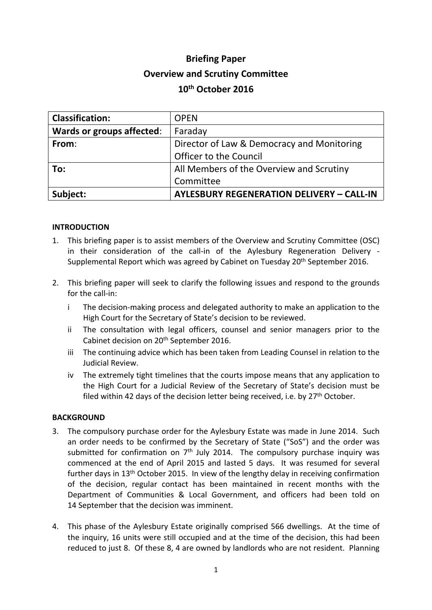# **Briefing Paper Overview and Scrutiny Committee 10th October 2016**

| <b>Classification:</b>           | <b>OPEN</b>                                      |
|----------------------------------|--------------------------------------------------|
| <b>Wards or groups affected:</b> | Faraday                                          |
| From:                            | Director of Law & Democracy and Monitoring       |
|                                  | Officer to the Council                           |
| To:                              | All Members of the Overview and Scrutiny         |
|                                  | Committee                                        |
| Subject:                         | <b>AYLESBURY REGENERATION DELIVERY - CALL-IN</b> |

## **INTRODUCTION**

- 1. This briefing paper is to assist members of the Overview and Scrutiny Committee (OSC) in their consideration of the call-in of the Aylesbury Regeneration Delivery - Supplemental Report which was agreed by Cabinet on Tuesday 20<sup>th</sup> September 2016.
- 2. This briefing paper will seek to clarify the following issues and respond to the grounds for the call-in:
	- i The decision-making process and delegated authority to make an application to the High Court for the Secretary of State's decision to be reviewed.
	- ii The consultation with legal officers, counsel and senior managers prior to the Cabinet decision on 20th September 2016.
	- iii The continuing advice which has been taken from Leading Counsel in relation to the Judicial Review.
	- iv The extremely tight timelines that the courts impose means that any application to the High Court for a Judicial Review of the Secretary of State's decision must be filed within 42 days of the decision letter being received, i.e. by  $27<sup>th</sup>$  October.

### **BACKGROUND**

- 3. The compulsory purchase order for the Aylesbury Estate was made in June 2014. Such an order needs to be confirmed by the Secretary of State ("SoS") and the order was submitted for confirmation on 7<sup>th</sup> July 2014. The compulsory purchase inquiry was commenced at the end of April 2015 and lasted 5 days. It was resumed for several further days in 13th October 2015. In view of the lengthy delay in receiving confirmation of the decision, regular contact has been maintained in recent months with the Department of Communities & Local Government, and officers had been told on 14 September that the decision was imminent.
- 4. This phase of the Aylesbury Estate originally comprised 566 dwellings. At the time of the inquiry, 16 units were still occupied and at the time of the decision, this had been reduced to just 8. Of these 8, 4 are owned by landlords who are not resident. Planning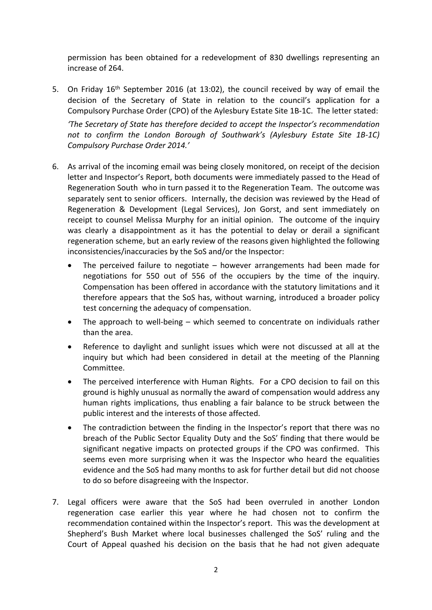permission has been obtained for a redevelopment of 830 dwellings representing an increase of 264.

5. On Friday 16<sup>th</sup> September 2016 (at 13:02), the council received by way of email the decision of the Secretary of State in relation to the council's application for a Compulsory Purchase Order (CPO) of the Aylesbury Estate Site 1B-1C. The letter stated:

*'The Secretary of State has therefore decided to accept the Inspector's recommendation not to confirm the London Borough of Southwark's (Aylesbury Estate Site 1B-1C) Compulsory Purchase Order 2014.'*

- 6. As arrival of the incoming email was being closely monitored, on receipt of the decision letter and Inspector's Report, both documents were immediately passed to the Head of Regeneration South who in turn passed it to the Regeneration Team. The outcome was separately sent to senior officers. Internally, the decision was reviewed by the Head of Regeneration & Development (Legal Services), Jon Gorst, and sent immediately on receipt to counsel Melissa Murphy for an initial opinion. The outcome of the inquiry was clearly a disappointment as it has the potential to delay or derail a significant regeneration scheme, but an early review of the reasons given highlighted the following inconsistencies/inaccuracies by the SoS and/or the Inspector:
	- The perceived failure to negotiate however arrangements had been made for negotiations for 550 out of 556 of the occupiers by the time of the inquiry. Compensation has been offered in accordance with the statutory limitations and it therefore appears that the SoS has, without warning, introduced a broader policy test concerning the adequacy of compensation.
	- The approach to well-being which seemed to concentrate on individuals rather than the area.
	- Reference to daylight and sunlight issues which were not discussed at all at the inquiry but which had been considered in detail at the meeting of the Planning Committee.
	- The perceived interference with Human Rights. For a CPO decision to fail on this ground is highly unusual as normally the award of compensation would address any human rights implications, thus enabling a fair balance to be struck between the public interest and the interests of those affected.
	- The contradiction between the finding in the Inspector's report that there was no breach of the Public Sector Equality Duty and the SoS' finding that there would be significant negative impacts on protected groups if the CPO was confirmed. This seems even more surprising when it was the Inspector who heard the equalities evidence and the SoS had many months to ask for further detail but did not choose to do so before disagreeing with the Inspector.
- 7. Legal officers were aware that the SoS had been overruled in another London regeneration case earlier this year where he had chosen not to confirm the recommendation contained within the Inspector's report. This was the development at Shepherd's Bush Market where local businesses challenged the SoS' ruling and the Court of Appeal quashed his decision on the basis that he had not given adequate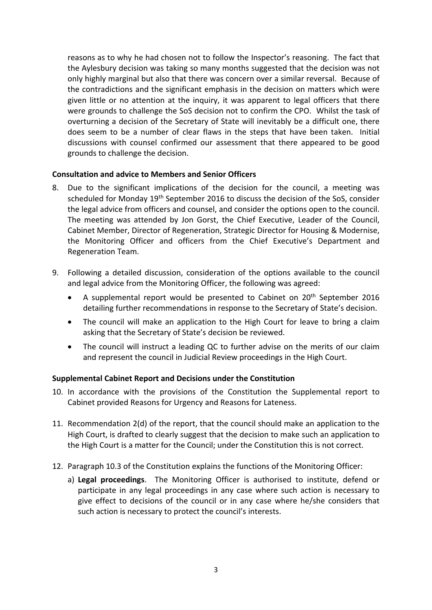reasons as to why he had chosen not to follow the Inspector's reasoning. The fact that the Aylesbury decision was taking so many months suggested that the decision was not only highly marginal but also that there was concern over a similar reversal. Because of the contradictions and the significant emphasis in the decision on matters which were given little or no attention at the inquiry, it was apparent to legal officers that there were grounds to challenge the SoS decision not to confirm the CPO. Whilst the task of overturning a decision of the Secretary of State will inevitably be a difficult one, there does seem to be a number of clear flaws in the steps that have been taken. Initial discussions with counsel confirmed our assessment that there appeared to be good grounds to challenge the decision.

## **Consultation and advice to Members and Senior Officers**

- 8. Due to the significant implications of the decision for the council, a meeting was scheduled for Monday 19<sup>th</sup> September 2016 to discuss the decision of the SoS, consider the legal advice from officers and counsel, and consider the options open to the council. The meeting was attended by Jon Gorst, the Chief Executive, Leader of the Council, Cabinet Member, Director of Regeneration, Strategic Director for Housing & Modernise, the Monitoring Officer and officers from the Chief Executive's Department and Regeneration Team.
- 9. Following a detailed discussion, consideration of the options available to the council and legal advice from the Monitoring Officer, the following was agreed:
	- A supplemental report would be presented to Cabinet on 20<sup>th</sup> September 2016 detailing further recommendations in response to the Secretary of State's decision.
	- The council will make an application to the High Court for leave to bring a claim asking that the Secretary of State's decision be reviewed.
	- The council will instruct a leading QC to further advise on the merits of our claim and represent the council in Judicial Review proceedings in the High Court.

### **Supplemental Cabinet Report and Decisions under the Constitution**

- 10. In accordance with the provisions of the Constitution the Supplemental report to Cabinet provided Reasons for Urgency and Reasons for Lateness.
- 11. Recommendation 2(d) of the report, that the council should make an application to the High Court, is drafted to clearly suggest that the decision to make such an application to the High Court is a matter for the Council; under the Constitution this is not correct.
- 12. Paragraph 10.3 of the Constitution explains the functions of the Monitoring Officer:
	- a) **Legal proceedings**. The Monitoring Officer is authorised to institute, defend or participate in any legal proceedings in any case where such action is necessary to give effect to decisions of the council or in any case where he/she considers that such action is necessary to protect the council's interests.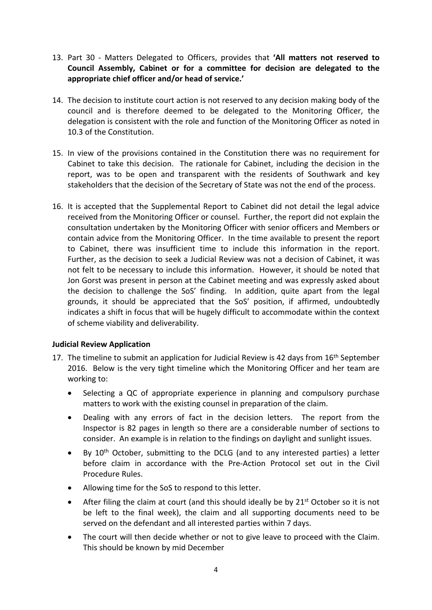- 13. Part 30 Matters Delegated to Officers, provides that **'All matters not reserved to Council Assembly, Cabinet or for a committee for decision are delegated to the appropriate chief officer and/or head of service.'**
- 14. The decision to institute court action is not reserved to any decision making body of the council and is therefore deemed to be delegated to the Monitoring Officer, the delegation is consistent with the role and function of the Monitoring Officer as noted in 10.3 of the Constitution.
- 15. In view of the provisions contained in the Constitution there was no requirement for Cabinet to take this decision. The rationale for Cabinet, including the decision in the report, was to be open and transparent with the residents of Southwark and key stakeholders that the decision of the Secretary of State was not the end of the process.
- 16. It is accepted that the Supplemental Report to Cabinet did not detail the legal advice received from the Monitoring Officer or counsel. Further, the report did not explain the consultation undertaken by the Monitoring Officer with senior officers and Members or contain advice from the Monitoring Officer. In the time available to present the report to Cabinet, there was insufficient time to include this information in the report. Further, as the decision to seek a Judicial Review was not a decision of Cabinet, it was not felt to be necessary to include this information. However, it should be noted that Jon Gorst was present in person at the Cabinet meeting and was expressly asked about the decision to challenge the SoS' finding. In addition, quite apart from the legal grounds, it should be appreciated that the SoS' position, if affirmed, undoubtedly indicates a shift in focus that will be hugely difficult to accommodate within the context of scheme viability and deliverability.

### **Judicial Review Application**

- 17. The timeline to submit an application for Judicial Review is 42 days from  $16<sup>th</sup>$  September 2016. Below is the very tight timeline which the Monitoring Officer and her team are working to:
	- Selecting a QC of appropriate experience in planning and compulsory purchase matters to work with the existing counsel in preparation of the claim.
	- Dealing with any errors of fact in the decision letters. The report from the Inspector is 82 pages in length so there are a considerable number of sections to consider. An example is in relation to the findings on daylight and sunlight issues.
	- By  $10<sup>th</sup>$  October, submitting to the DCLG (and to any interested parties) a letter before claim in accordance with the Pre-Action Protocol set out in the Civil Procedure Rules.
	- Allowing time for the SoS to respond to this letter.
	- After filing the claim at court (and this should ideally be by  $21^{st}$  October so it is not be left to the final week), the claim and all supporting documents need to be served on the defendant and all interested parties within 7 days.
	- The court will then decide whether or not to give leave to proceed with the Claim. This should be known by mid December